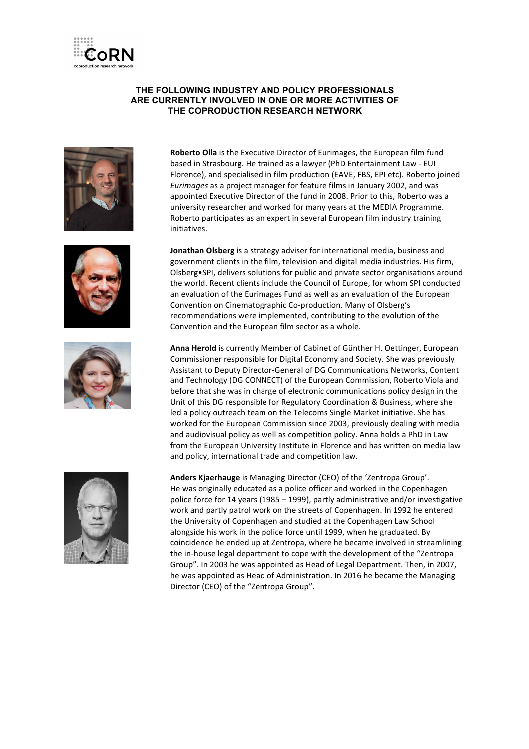

## **THE FOLLOWING INDUSTRY AND POLICY PROFESSIONALS ARE CURRENTLY INVOLVED IN ONE OR MORE ACTIVITIES OF THE COPRODUCTION RESEARCH NETWORK**







**Roberto Olla** is the Executive Director of Eurimages, the European film fund based in Strasbourg. He trained as a lawyer (PhD Entertainment Law - EUI Florence), and specialised in film production (EAVE, FBS, EPI etc). Roberto joined *Eurimages* as a project manager for feature films in January 2002, and was appointed Executive Director of the fund in 2008. Prior to this, Roberto was a university researcher and worked for many years at the MEDIA Programme. Roberto participates as an expert in several European film industry training initiatives.

**Jonathan Olsberg** is a strategy adviser for international media, business and government clients in the film, television and digital media industries. His firm, Olsberg•SPI, delivers solutions for public and private sector organisations around the world. Recent clients include the Council of Europe, for whom SPI conducted an evaluation of the Eurimages Fund as well as an evaluation of the European Convention on Cinematographic Co-production. Many of Olsberg's recommendations were implemented, contributing to the evolution of the Convention and the European film sector as a whole.

Anna Herold is currently Member of Cabinet of Günther H. Oettinger, European Commissioner responsible for Digital Economy and Society. She was previously Assistant to Deputy Director-General of DG Communications Networks, Content and Technology (DG CONNECT) of the European Commission, Roberto Viola and before that she was in charge of electronic communications policy design in the Unit of this DG responsible for Regulatory Coordination & Business, where she led a policy outreach team on the Telecoms Single Market initiative. She has worked for the European Commission since 2003, previously dealing with media and audiovisual policy as well as competition policy. Anna holds a PhD in Law from the European University Institute in Florence and has written on media law and policy, international trade and competition law.



Anders Kjaerhauge is Managing Director (CEO) of the 'Zentropa Group'. He was originally educated as a police officer and worked in the Copenhagen police force for 14 years (1985 – 1999), partly administrative and/or investigative work and partly patrol work on the streets of Copenhagen. In 1992 he entered the University of Copenhagen and studied at the Copenhagen Law School alongside his work in the police force until 1999, when he graduated. By coincidence he ended up at Zentropa, where he became involved in streamlining the in-house legal department to cope with the development of the "Zentropa Group". In 2003 he was appointed as Head of Legal Department. Then, in 2007, he was appointed as Head of Administration. In 2016 he became the Managing Director (CEO) of the "Zentropa Group".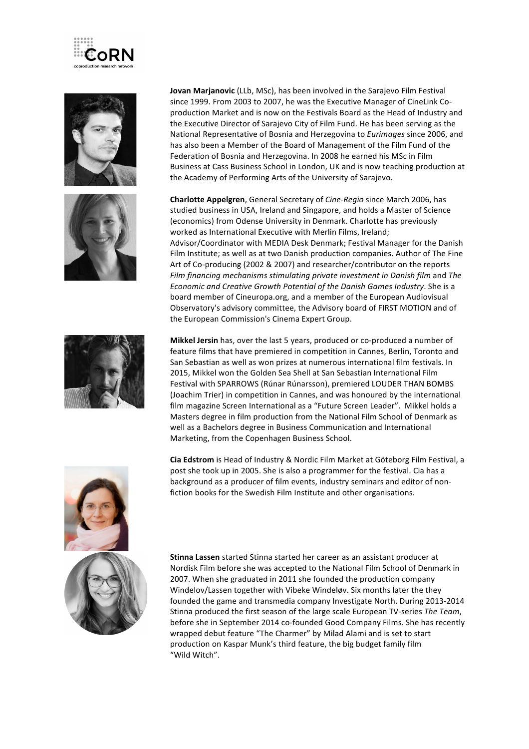







**Jovan Marjanovic** (LLb, MSc), has been involved in the Sarajevo Film Festival since 1999. From 2003 to 2007, he was the Executive Manager of CineLink Coproduction Market and is now on the Festivals Board as the Head of Industry and the Executive Director of Sarajevo City of Film Fund. He has been serving as the National Representative of Bosnia and Herzegovina to *Eurimages* since 2006, and has also been a Member of the Board of Management of the Film Fund of the Federation of Bosnia and Herzegovina. In 2008 he earned his MSc in Film Business at Cass Business School in London, UK and is now teaching production at the Academy of Performing Arts of the University of Sarajevo.

**Charlotte Appelgren**, General Secretary of *Cine-Regio* since March 2006, has studied business in USA, Ireland and Singapore, and holds a Master of Science (economics) from Odense University in Denmark. Charlotte has previously worked as International Executive with Merlin Films, Ireland; Advisor/Coordinator with MEDIA Desk Denmark; Festival Manager for the Danish Film Institute; as well as at two Danish production companies. Author of The Fine Art of Co-producing (2002 & 2007) and researcher/contributor on the reports *Film financing mechanisms stimulating private investment in Danish film and The Economic and Creative Growth Potential of the Danish Games Industry.* She is a board member of Cineuropa.org, and a member of the European Audiovisual Observatory's advisory committee, the Advisory board of FIRST MOTION and of the European Commission's Cinema Expert Group.

**Mikkel Jersin** has, over the last 5 years, produced or co-produced a number of feature films that have premiered in competition in Cannes, Berlin, Toronto and San Sebastian as well as won prizes at numerous international film festivals. In 2015, Mikkel won the Golden Sea Shell at San Sebastian International Film Festival with SPARROWS (Rúnar Rúnarsson), premiered LOUDER THAN BOMBS (Joachim Trier) in competition in Cannes, and was honoured by the international film magazine Screen International as a "Future Screen Leader". Mikkel holds a Masters degree in film production from the National Film School of Denmark as well as a Bachelors degree in Business Communication and International Marketing, from the Copenhagen Business School.

**Cia Edstrom** is Head of Industry & Nordic Film Market at Göteborg Film Festival, a post she took up in 2005. She is also a programmer for the festival. Cia has a background as a producer of film events, industry seminars and editor of nonfiction books for the Swedish Film Institute and other organisations.

**Stinna Lassen** started Stinna started her career as an assistant producer at Nordisk Film before she was accepted to the National Film School of Denmark in 2007. When she graduated in 2011 she founded the production company Windelov/Lassen together with Vibeke Windeløv. Six months later the they founded the game and transmedia company Investigate North. During 2013-2014 Stinna produced the first season of the large scale European TV-series The Team, before she in September 2014 co-founded Good Company Films. She has recently wrapped debut feature "The Charmer" by Milad Alami and is set to start production on Kaspar Munk's third feature, the big budget family film "Wild Witch".